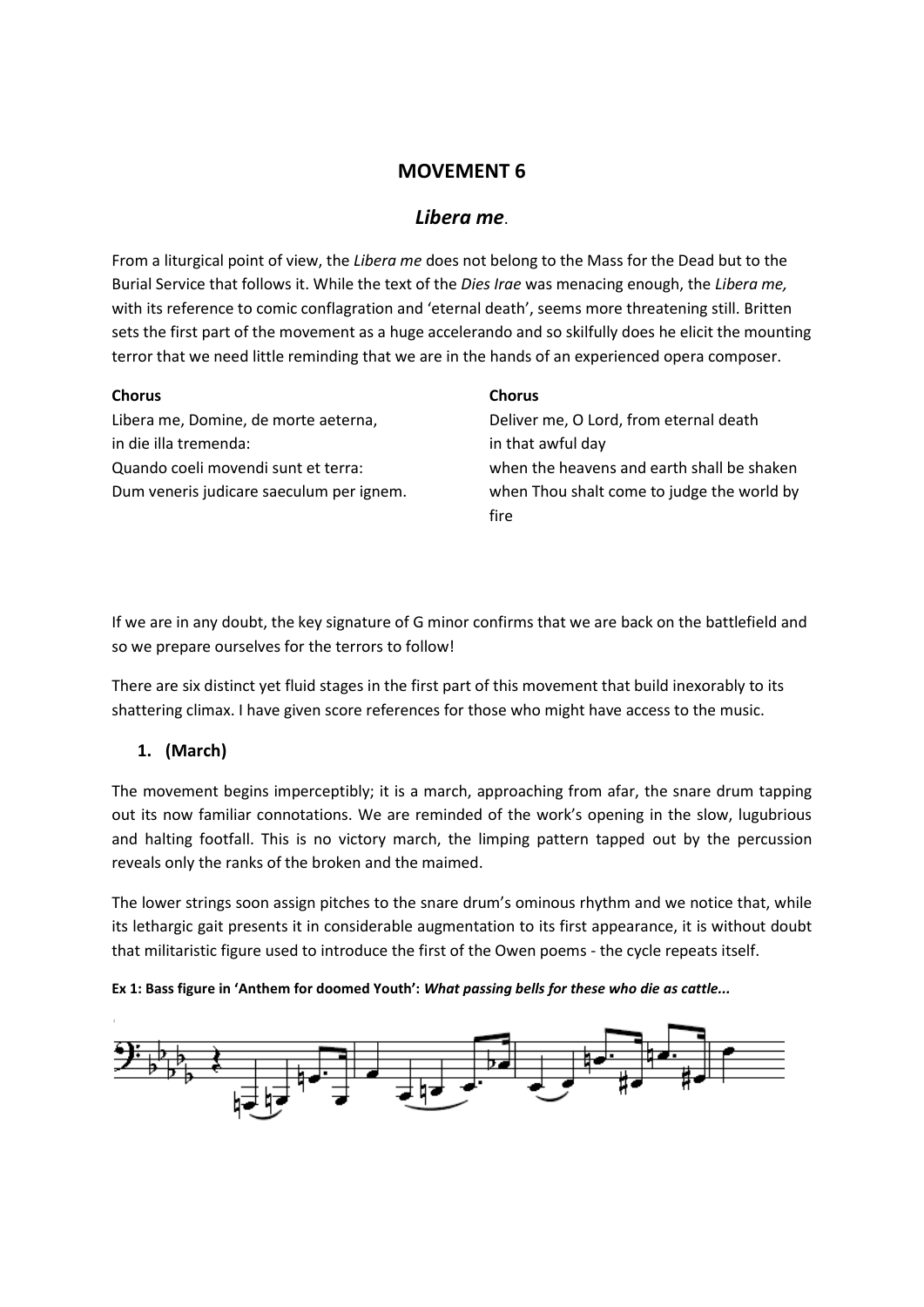# **MOVEMENT 6**

# *Libera me*.

From a liturgical point of view, the *Libera me* does not belong to the Mass for the Dead but to the Burial Service that follows it. While the text of the *Dies Irae* was menacing enough, the *Libera me,* with its reference to comic conflagration and 'eternal death', seems more threatening still. Britten sets the first part of the movement as a huge accelerando and so skilfully does he elicit the mounting terror that we need little reminding that we are in the hands of an experienced opera composer.

### **Chorus**

## **Chorus**

Libera me, Domine, de morte aeterna, in die illa tremenda: Quando coeli movendi sunt et terra: Dum veneris judicare saeculum per ignem.

Deliver me, O Lord, from eternal death in that awful day when the heavens and earth shall be shaken when Thou shalt come to judge the world by fire

If we are in any doubt, the key signature of G minor confirms that we are back on the battlefield and so we prepare ourselves for the terrors to follow!

There are six distinct yet fluid stages in the first part of this movement that build inexorably to its shattering climax. I have given score references for those who might have access to the music.

# **1. (March)**

The movement begins imperceptibly; it is a march, approaching from afar, the snare drum tapping out its now familiar connotations. We are reminded of the work's opening in the slow, lugubrious and halting footfall. This is no victory march, the limping pattern tapped out by the percussion reveals only the ranks of the broken and the maimed.

The lower strings soon assign pitches to the snare drum's ominous rhythm and we notice that, while its lethargic gait presents it in considerable augmentation to its first appearance, it is without doubt that militaristic figure used to introduce the first of the Owen poems - the cycle repeats itself.

**Ex 1: Bass figure in 'Anthem for doomed Youth':** *What passing bells for these who die as cattle...*

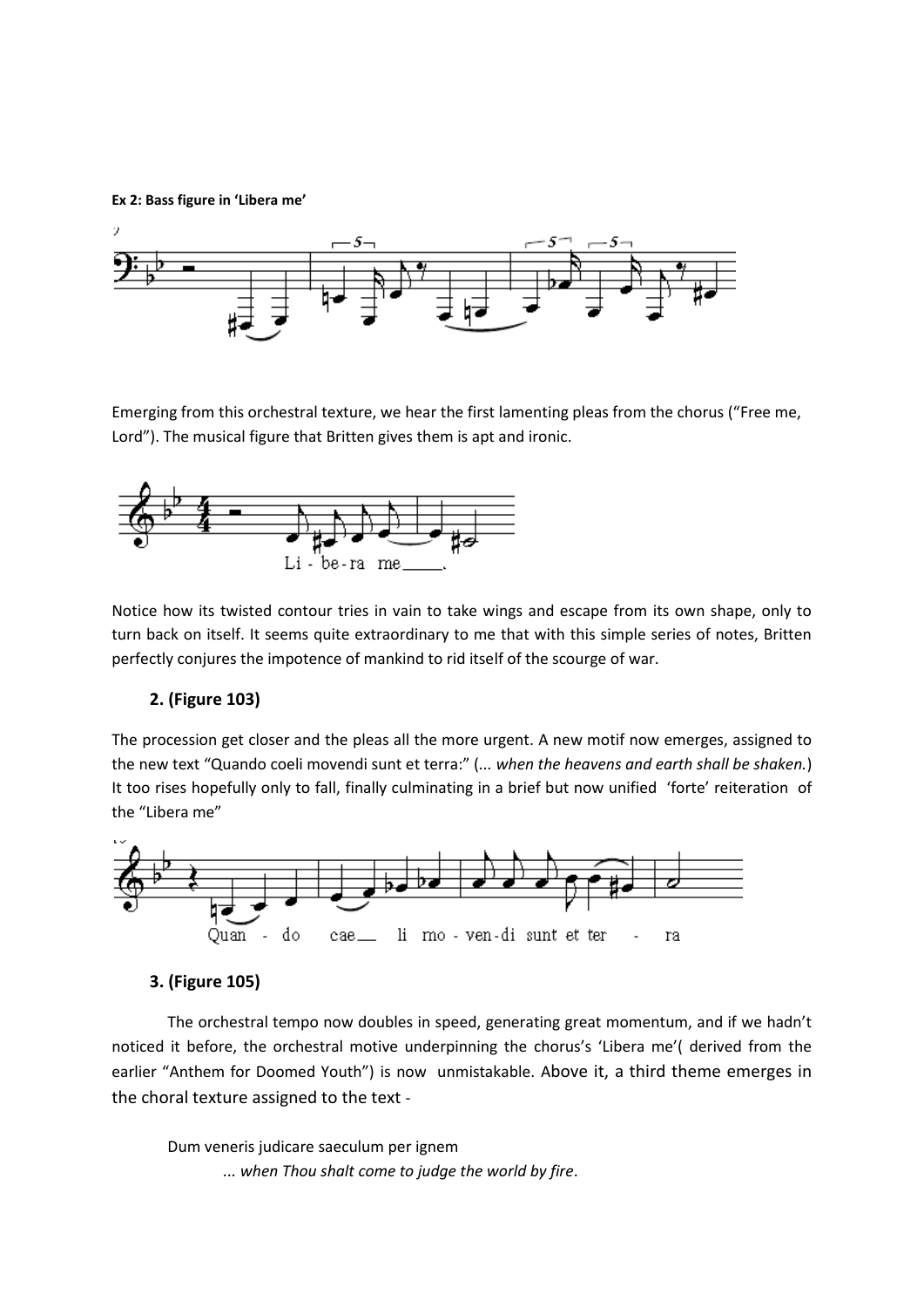**Ex 2: Bass figure in 'Libera me'**



Emerging from this orchestral texture, we hear the first lamenting pleas from the chorus ("Free me, Lord"). The musical figure that Britten gives them is apt and ironic.



Notice how its twisted contour tries in vain to take wings and escape from its own shape, only to turn back on itself. It seems quite extraordinary to me that with this simple series of notes, Britten perfectly conjures the impotence of mankind to rid itself of the scourge of war.

#### **2. (Figure 103)**

The procession get closer and the pleas all the more urgent. A new motif now emerges, assigned to the new text "Quando coeli movendi sunt et terra:" (*... when the heavens and earth shall be shaken.*) It too rises hopefully only to fall, finally culminating in a brief but now unified 'forte' reiteration of the "Libera me"



#### **3. (Figure 105)**

The orchestral tempo now doubles in speed, generating great momentum, and if we hadn't noticed it before, the orchestral motive underpinning the chorus's 'Libera me'( derived from the earlier "Anthem for Doomed Youth") is now unmistakable. Above it, a third theme emerges in the choral texture assigned to the text -

Dum veneris judicare saeculum per ignem *... when Thou shalt come to judge the world by fire*.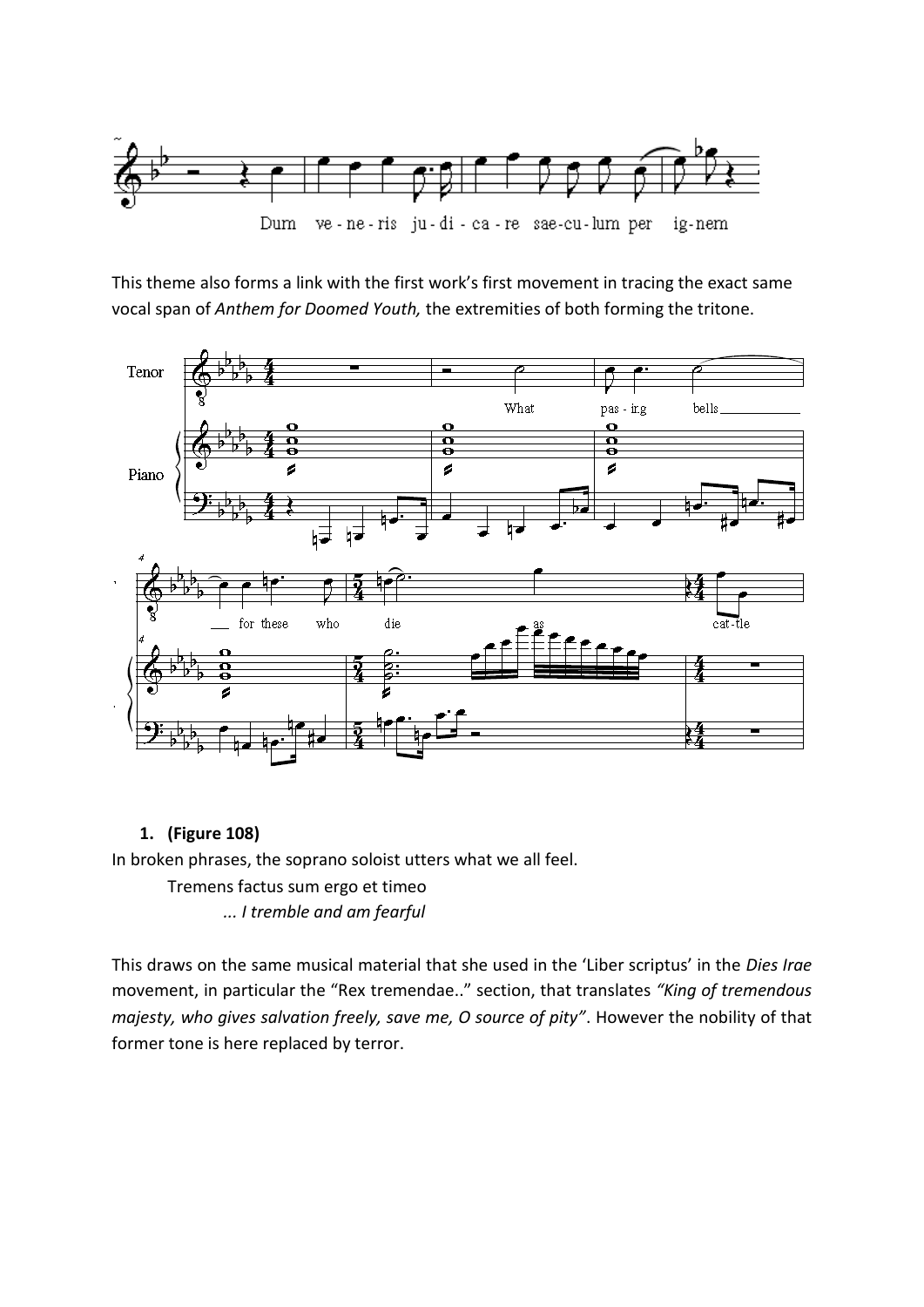

This theme also forms a link with the first work's first movement in tracing the exact same vocal span of *Anthem for Doomed Youth,* the extremities of both forming the tritone.



# **1. (Figure 108)**

In broken phrases, the soprano soloist utters what we all feel.

Tremens factus sum ergo et timeo

*... I tremble and am fearful* 

This draws on the same musical material that she used in the 'Liber scriptus' in the *Dies Irae* movement, in particular the "Rex tremendae.." section, that translates *"King of tremendous majesty, who gives salvation freely, save me, O source of pity"*. However the nobility of that former tone is here replaced by terror.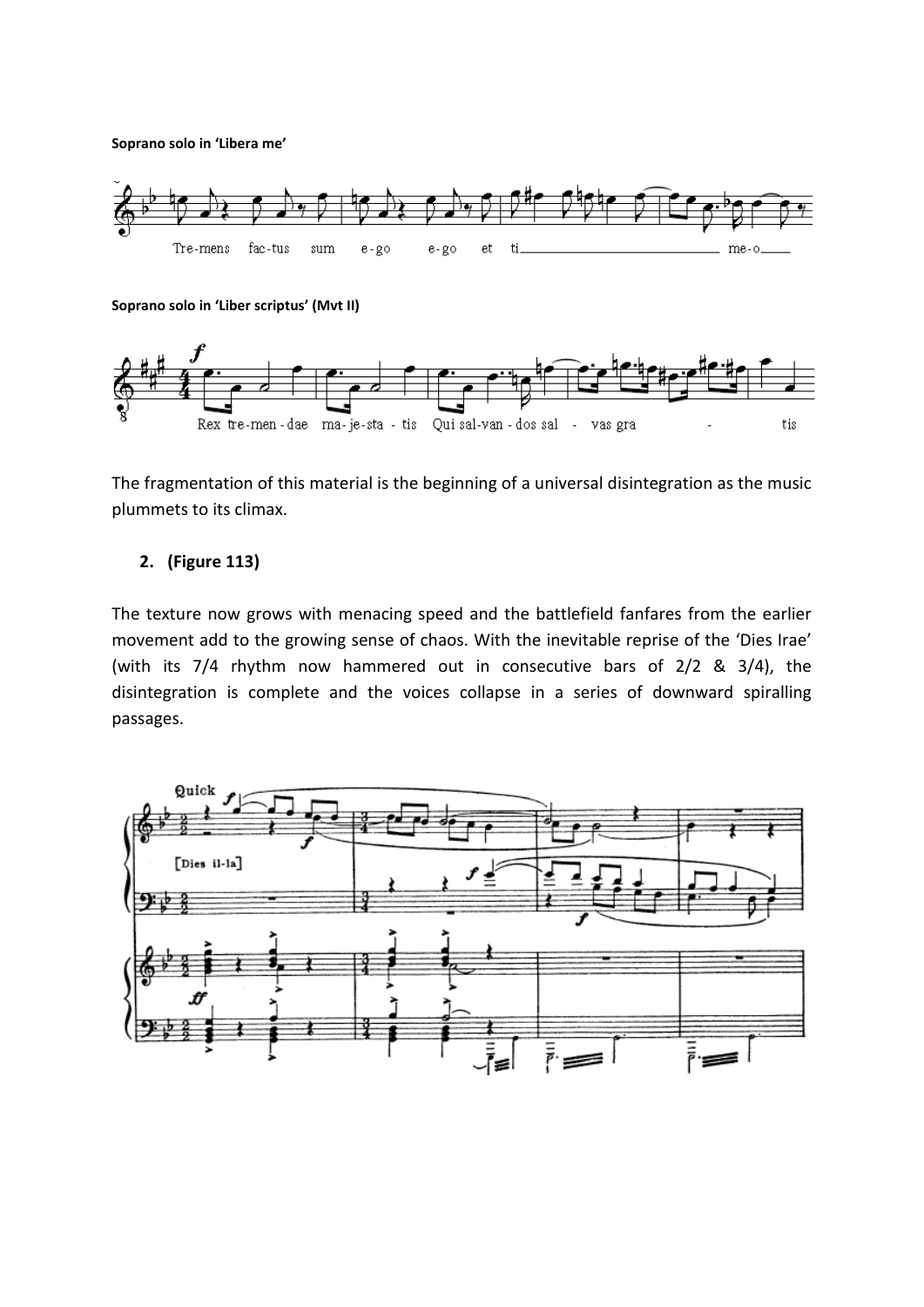**Soprano solo in 'Libera me'**



**Soprano solo in 'Liber scriptus' (Mvt II)**



The fragmentation of this material is the beginning of a universal disintegration as the music plummets to its climax.

## **2. (Figure 113)**

The texture now grows with menacing speed and the battlefield fanfares from the earlier movement add to the growing sense of chaos. With the inevitable reprise of the 'Dies Irae' (with its 7/4 rhythm now hammered out in consecutive bars of 2/2 & 3/4), the disintegration is complete and the voices collapse in a series of downward spiralling passages.

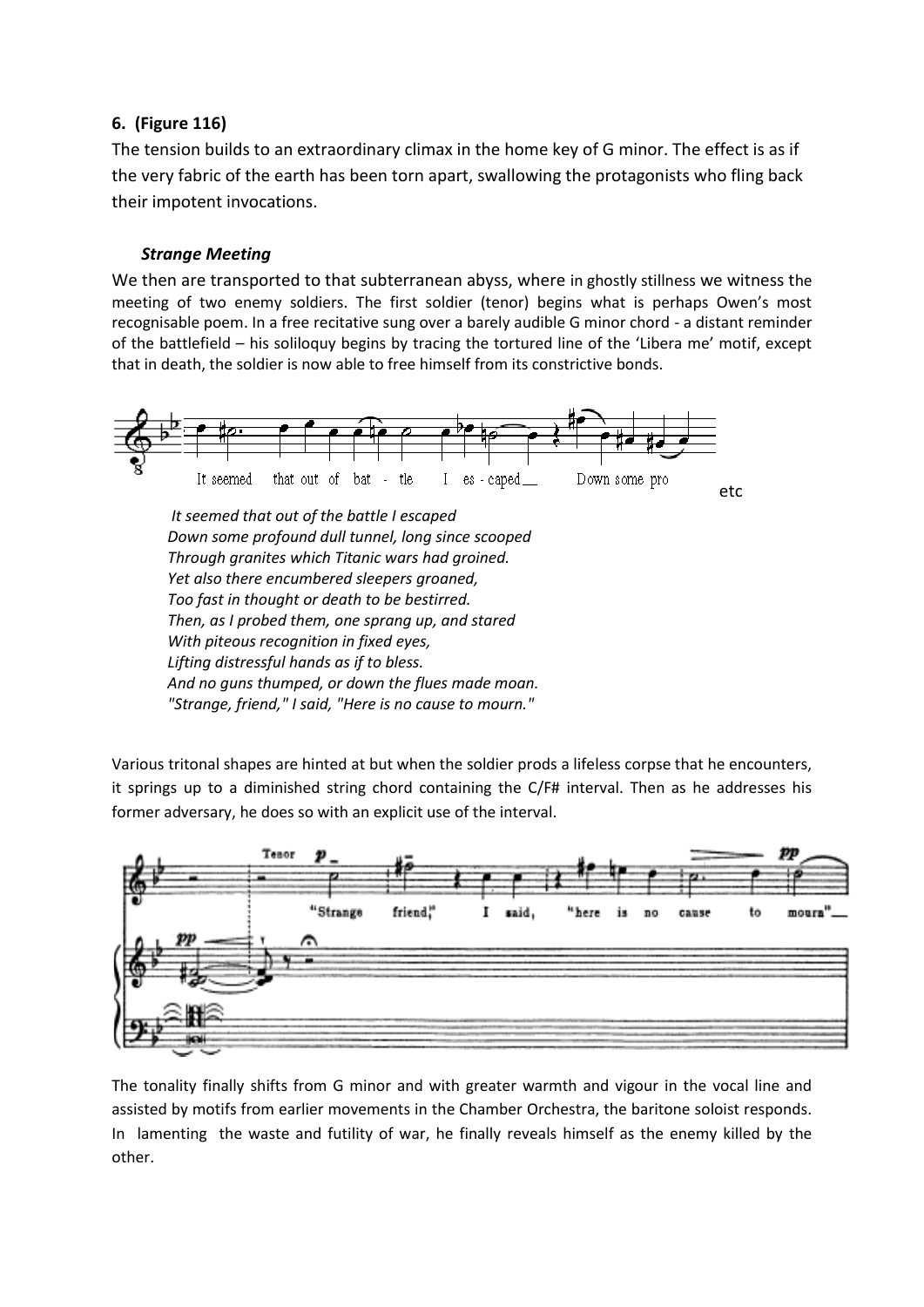# **6. (Figure 116)**

The tension builds to an extraordinary climax in the home key of G minor. The effect is as if the very fabric of the earth has been torn apart, swallowing the protagonists who fling back their impotent invocations.

## *Strange Meeting*

We then are transported to that subterranean abyss, where in ghostly stillness we witness the meeting of two enemy soldiers. The first soldier (tenor) begins what is perhaps Owen's most recognisable poem. In a free recitative sung over a barely audible G minor chord - a distant reminder of the battlefield – his soliloquy begins by tracing the tortured line of the 'Libera me' motif, except that in death, the soldier is now able to free himself from its constrictive bonds.



Various tritonal shapes are hinted at but when the soldier prods a lifeless corpse that he encounters, it springs up to a diminished string chord containing the C/F# interval. Then as he addresses his former adversary, he does so with an explicit use of the interval.



The tonality finally shifts from G minor and with greater warmth and vigour in the vocal line and assisted by motifs from earlier movements in the Chamber Orchestra, the baritone soloist responds. In lamenting the waste and futility of war, he finally reveals himself as the enemy killed by the other.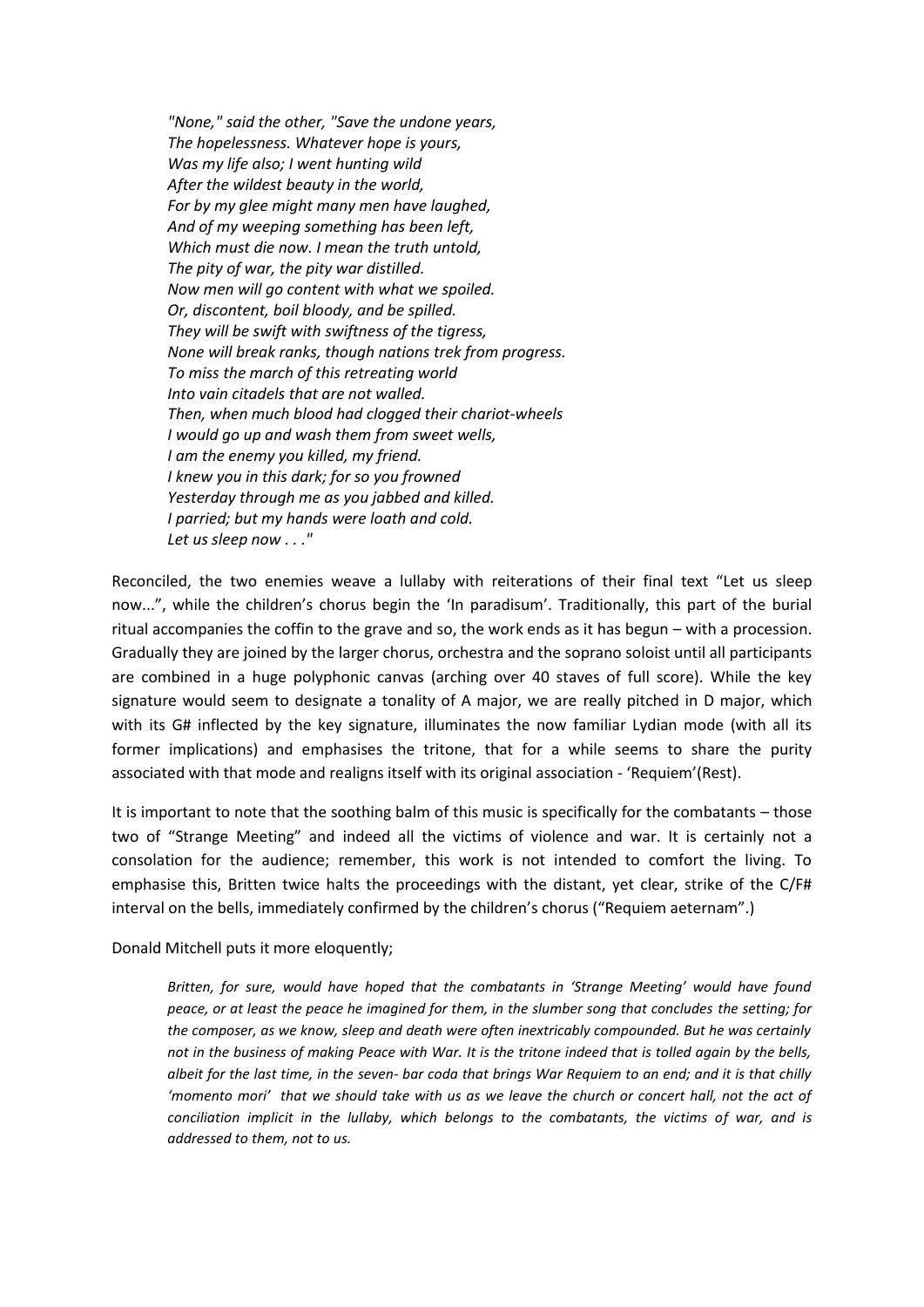*"None," said the other, "Save the undone years, The hopelessness. Whatever hope is yours, Was my life also; I went hunting wild After the wildest beauty in the world, For by my glee might many men have laughed, And of my weeping something has been left, Which must die now. I mean the truth untold, The pity of war, the pity war distilled. Now men will go content with what we spoiled. Or, discontent, boil bloody, and be spilled. They will be swift with swiftness of the tigress, None will break ranks, though nations trek from progress. To miss the march of this retreating world Into vain citadels that are not walled. Then, when much blood had clogged their chariot-wheels I would go up and wash them from sweet wells, I am the enemy you killed, my friend. I knew you in this dark; for so you frowned Yesterday through me as you jabbed and killed. I parried; but my hands were loath and cold. Let us sleep now . . ."*

Reconciled, the two enemies weave a lullaby with reiterations of their final text "Let us sleep now...", while the children's chorus begin the 'In paradisum'. Traditionally, this part of the burial ritual accompanies the coffin to the grave and so, the work ends as it has begun – with a procession. Gradually they are joined by the larger chorus, orchestra and the soprano soloist until all participants are combined in a huge polyphonic canvas (arching over 40 staves of full score). While the key signature would seem to designate a tonality of A major, we are really pitched in D major, which with its G# inflected by the key signature, illuminates the now familiar Lydian mode (with all its former implications) and emphasises the tritone, that for a while seems to share the purity associated with that mode and realigns itself with its original association - 'Requiem'(Rest).

It is important to note that the soothing balm of this music is specifically for the combatants – those two of "Strange Meeting" and indeed all the victims of violence and war. It is certainly not a consolation for the audience; remember, this work is not intended to comfort the living. To emphasise this, Britten twice halts the proceedings with the distant, yet clear, strike of the C/F# interval on the bells, immediately confirmed by the children's chorus ("Requiem aeternam".)

Donald Mitchell puts it more eloquently;

*Britten, for sure, would have hoped that the combatants in 'Strange Meeting' would have found peace, or at least the peace he imagined for them, in the slumber song that concludes the setting; for the composer, as we know, sleep and death were often inextricably compounded. But he was certainly not in the business of making Peace with War. It is the tritone indeed that is tolled again by the bells, albeit for the last time, in the seven- bar coda that brings War Requiem to an end; and it is that chilly 'momento mori' that we should take with us as we leave the church or concert hall, not the act of conciliation implicit in the lullaby, which belongs to the combatants, the victims of war, and is addressed to them, not to us.*